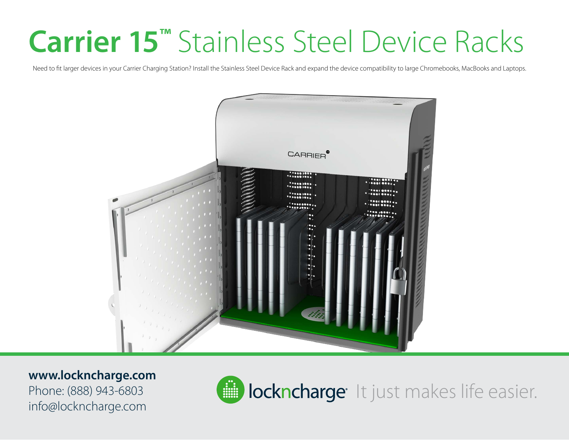## **Carrier 15™** Stainless Steel Device Racks

Need to fit larger devices in your Carrier Charging Station? Install the Stainless Steel Device Rack and expand the device compatibility to large Chromebooks, MacBooks and Laptops.



## **www.lockncharge.com**

Phone: (888) 943-6803 info@lockncharge.com